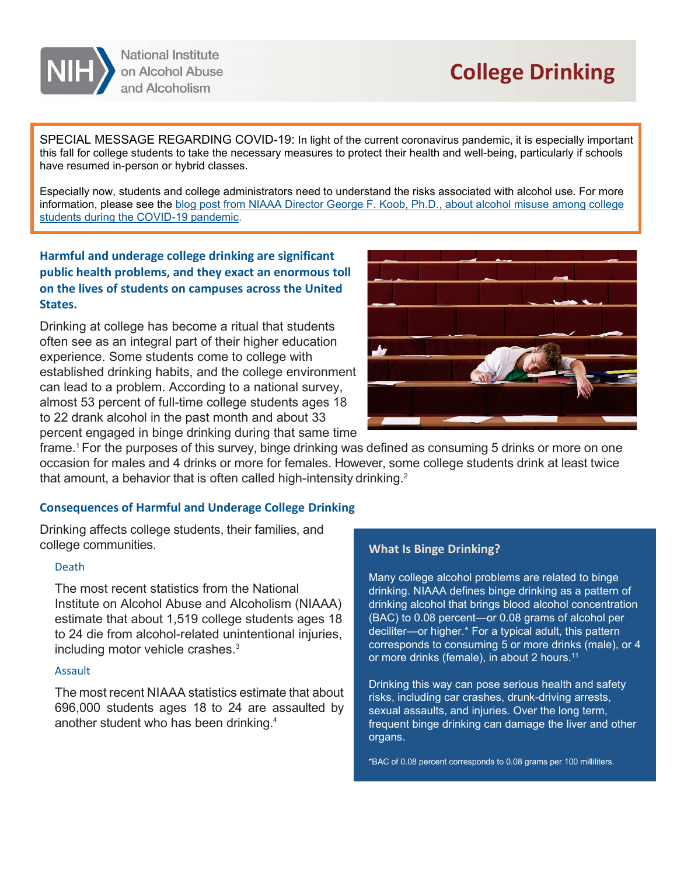

# **College Drinking**

SPECIAL MESSAGE REGARDING COVID-19: In light of the current coronavirus pandemic, it is especially important this fall for college students to take the necessary measures to protect their health and well-being, particularly if schools have resumed in-person or hybrid classes.

Especially now, students and college administrators need to understand the risks associated with alcohol use. For more information, please see the [blog post from NIAAA Director George F. Koob, Ph.D., about alcohol misuse among college](https://www.niaaa.nih.gov/directors-blog-combatting-alcohol-misuse-among-college-students-during-covid-19-pandemic)  [students during the COVID-19 pandemic.](https://www.niaaa.nih.gov/directors-blog-combatting-alcohol-misuse-among-college-students-during-covid-19-pandemic)

# **Harmful and underage college drinking are significant public health problems, and they exact an enormous toll on the lives of students on campuses across the United States.**

Drinking at college has become a ritual that students often see as an integral part of their higher education experience. Some students come to college with established drinking habits, and the college environment can lead to a problem. According to a national survey, almost 53 percent of full-time college students ages 18 to 22 drank alcohol in the past month and about 33 percent engaged in binge drinking during that same time



frame. $^{\rm 1}$ For the purposes of this survey, binge drinking was defined as consuming 5 drinks or more on one occasion for males and 4 drinks or more for females. However, some college students drink at least twice that amount, a behavior that is often called high-intensity drinking.<sup>2</sup>

## **Consequences of Harmful and Underage College Drinking**

Drinking affects college students, their families, and college communities.

## Death

The most recent statistics from the National Institute on Alcohol Abuse and Alcoholism (NIAAA) estimate that about 1,519 college students ages 18 to 24 die from alcohol-related unintentional injuries, including motor vehicle crashes.3

#### Assault

The most recent NIAAA statistics estimate that about 696,000 students ages 18 to 24 are assaulted by another student who has been drinking.4

## **What Is Binge Drinking?**

Many college alcohol problems are related to binge drinking. NIAAA defines binge drinking as a pattern of drinking alcohol that brings blood alcohol concentration (BAC) to 0.08 percent—or 0.08 grams of alcohol per deciliter—or higher.\* For a typical adult, this pattern corresponds to consuming 5 or more drinks (male), or 4 or more drinks (female), in about 2 hours. 11

Drinking this way can pose serious health and safety risks, including car crashes, drunk-driving arrests, sexual assaults, and injuries. Over the long term, frequent binge drinking can damage the liver and other organs.

\*BAC of 0.08 percent corresponds to 0.08 grams per 100 milliliters.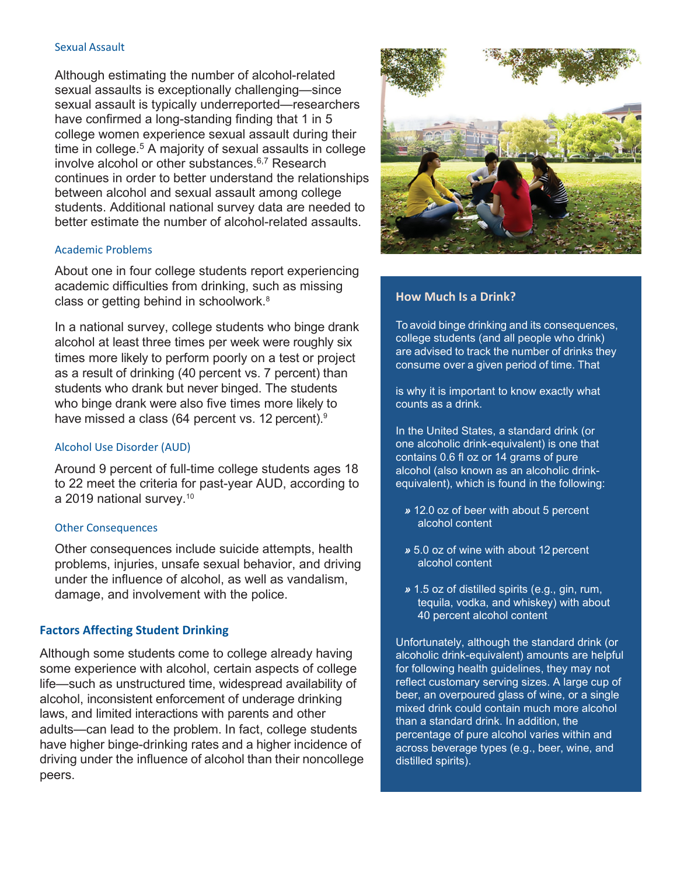#### Sexual Assault

Although estimating the number of alcohol-related sexual assaults is exceptionally challenging—since sexual assault is typically underreported—researchers have confirmed a long-standing finding that 1 in 5 college women experience sexual assault during their time in college.<sup>5</sup> A majority of sexual assaults in college involve alcohol or other substances.6,7 Research continues in order to better understand the relationships between alcohol and sexual assault among college students. Additional national survey data are needed to better estimate the number of alcohol-related assaults.

#### Academic Problems

About one in four college students report experiencing academic difficulties from drinking, such as missing class or getting behind in schoolwork.8

In a national survey, college students who binge drank alcohol at least three times per week were roughly six times more likely to perform poorly on a test or project as a result of drinking (40 percent vs. 7 percent) than students who drank but never binged. The students who binge drank were also five times more likely to have missed a class (64 percent vs. 12 percent).<sup>9</sup>

#### Alcohol Use Disorder (AUD)

Around 9 percent of full-time college students ages 18 to 22 meet the criteria for past-year AUD, according to a 2019 national survey.10

#### Other Consequences

Other consequences include suicide attempts, health problems, injuries, unsafe sexual behavior, and driving under the influence of alcohol, as well as vandalism, damage, and involvement with the police.

## **Factors Affecting Student Drinking**

Although some students come to college already having some experience with alcohol, certain aspects of college life—such as unstructured time, widespread availability of alcohol, inconsistent enforcement of underage drinking laws, and limited interactions with parents and other adults—can lead to the problem. In fact, college students have higher binge-drinking rates and a higher incidence of driving under the influence of alcohol than their noncollege peers.



## **How Much Is a Drink?**

To avoid binge drinking and its consequences, college students (and all people who drink) are advised to track the number of drinks they consume over a given period of time. That

is why it is important to know exactly what counts as a drink.

In the United States, a standard drink (or one alcoholic drink-equivalent) is one that contains 0.6 fl oz or 14 grams of pure alcohol (also known as an alcoholic drinkequivalent), which is found in the following:

- *»* 12.0 oz of beer with about 5 percent alcohol content
- *»* 5.0 oz of wine with about 12 percent alcohol content
- *»* 1.5 oz of distilled spirits (e.g., gin, rum, tequila, vodka, and whiskey) with about 40 percent alcohol content

Unfortunately, although the standard drink (or alcoholic drink-equivalent) amounts are helpful for following health guidelines, they may not reflect customary serving sizes. A large cup of beer, an overpoured glass of wine, or a single mixed drink could contain much more alcohol than a standard drink. In addition, the percentage of pure alcohol varies within and across beverage types (e.g., beer, wine, and distilled spirits).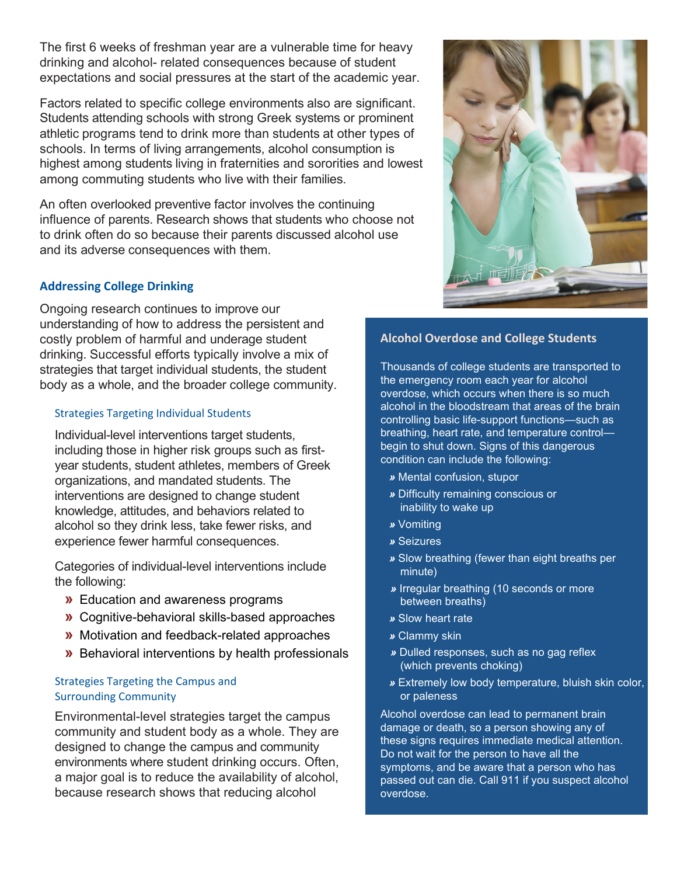The first 6 weeks of freshman year are a vulnerable time for heavy drinking and alcohol- related consequences because of student expectations and social pressures at the start of the academic year.

Factors related to specific college environments also are significant. Students attending schools with strong Greek systems or prominent athletic programs tend to drink more than students at other types of schools. In terms of living arrangements, alcohol consumption is highest among students living in fraternities and sororities and lowest among commuting students who live with their families.

An often overlooked preventive factor involves the continuing influence of parents. Research shows that students who choose not to drink often do so because their parents discussed alcohol use and its adverse consequences with them.

## **Addressing College Drinking**

Ongoing research continues to improve our understanding of how to address the persistent and costly problem of harmful and underage student drinking. Successful efforts typically involve a mix of strategies that target individual students, the student body as a whole, and the broader college community.

## Strategies Targeting Individual Students

Individual-level interventions target students, including those in higher risk groups such as firstyear students, student athletes, members of Greek organizations, and mandated students. The interventions are designed to change student knowledge, attitudes, and behaviors related to alcohol so they drink less, take fewer risks, and experience fewer harmful consequences.

Categories of individual-level interventions include the following:

- **»** Education and awareness programs
- **»** Cognitive-behavioral skills-based approaches
- **»** Motivation and feedback-related approaches
- **»** Behavioral interventions by health professionals

## Strategies Targeting the Campus and Surrounding Community

Environmental-level strategies target the campus community and student body as a whole. They are designed to change the campus and community environments where student drinking occurs. Often, a major goal is to reduce the availability of alcohol, because research shows that reducing alcohol



## **Alcohol Overdose and College Students**

Thousands of college students are transported to the emergency room each year for alcohol overdose, which occurs when there is so much alcohol in the bloodstream that areas of the brain controlling basic life-support functions—such as breathing, heart rate, and temperature control begin to shut down. Signs of this dangerous condition can include the following:

- *»* Mental confusion, stupor
- *»* Difficulty remaining conscious or inability to wake up
- *»* Vomiting
- *»* Seizures
- *»* Slow breathing (fewer than eight breaths per minute)
- *»* Irregular breathing (10 seconds or more between breaths)
- *»* Slow heart rate
- *»* Clammy skin
- *»* Dulled responses, such as no gag reflex (which prevents choking)
- *»* Extremely low body temperature, bluish skin color, or paleness

Alcohol overdose can lead to permanent brain damage or death, so a person showing any of these signs requires immediate medical attention. Do not wait for the person to have all the symptoms, and be aware that a person who has passed out can die. Call 911 if you suspect alcohol overdose.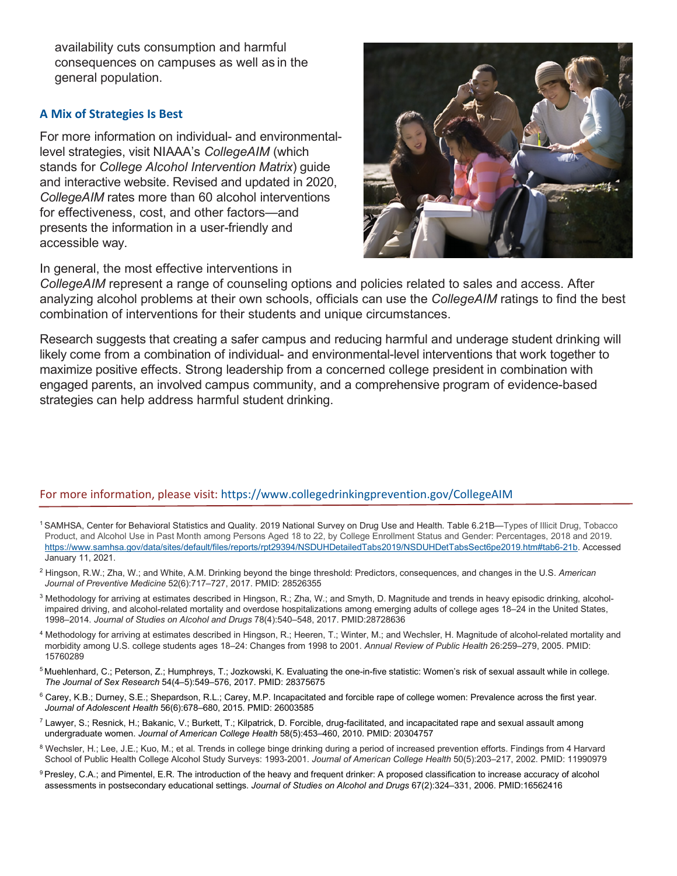availability cuts consumption and harmful consequences on campuses as well as in the general population.

## **A Mix of Strategies Is Best**

For more information on individual- and environmentallevel strategies, visit NIAAA's *CollegeAIM* (which stands for *College Alcohol Intervention Matrix*) guide and interactive website. Revised and updated in 2020, *CollegeAIM* rates more than 60 alcohol interventions for effectiveness, cost, and other factors—and presents the information in a user-friendly and accessible way.

In general, the most effective interventions in



*CollegeAIM* represent a range of counseling options and policies related to sales and access. After analyzing alcohol problems at their own schools, officials can use the *CollegeAIM* ratings to find the best combination of interventions for their students and unique circumstances.

Research suggests that creating a safer campus and reducing harmful and underage student drinking will likely come from a combination of individual- and environmental-level interventions that work together to maximize positive effects. Strong leadership from a concerned college president in combination with engaged parents, an involved campus community, and a comprehensive program of evidence-based strategies can help address harmful student drinking.

## For more information, please visit: https://[www.collegedrinkingprevention.gov/CollegeAIM](http://www.collegedrinkingprevention.gov/CollegeAIM)

- 1 SAMHSA, Center for Behavioral Statistics and Quality. 2019 National Survey on Drug Use and Health. Table 6.21B—Types of Illicit Drug, Tobacco Product, and Alcohol Use in Past Month among Persons Aged 18 to 22, by College Enrollment Status and Gender: Percentages, 2018 and 2019. [https://www.samhsa.gov/data/sites/default/files/reports/rpt29394/NSDUHDetailedTabs2019/NSDUHDetTabsSect6pe2019.htm#tab6-21b.](https://www.samhsa.gov/data/sites/default/files/reports/rpt29394/NSDUHDetailedTabs2019/NSDUHDetTabsSect6pe2019.htm#tab6-21b) Accessed January 11, 2021.
- <sup>2</sup> Hingson, R.W.; Zha, W.; and White, A.M. Drinking beyond the binge threshold: Predictors, consequences, and changes in the U.S. *American Journal of Preventive Medicine* 52(6):717–727, 2017. PMID: 28526355
- <sup>3</sup> Methodology for arriving at estimates described in Hingson, R.; Zha, W.; and Smyth, D. Magnitude and trends in heavy episodic drinking, alcoholimpaired driving, and alcohol-related mortality and overdose hospitalizations among emerging adults of college ages 18–24 in the United States, 1998–2014. *Journal of Studies on Alcohol and Drugs* 78(4):540–548, 2017. PMID:28728636
- <sup>4</sup> Methodology for arriving at estimates described in Hingson, R.; Heeren, T.; Winter, M.; and Wechsler, H. Magnitude of alcohol-related mortality and morbidity among U.S. college students ages 18–24: Changes from 1998 to 2001. *Annual Review of Public Health* 26:259–279, 2005. PMID: 15760289
- <sup>5</sup> Muehlenhard, C.; Peterson, Z.; Humphreys, T.; Jozkowski, K. Evaluating the one-in-five statistic: Women's risk of sexual assault while in college. *The Journal of Sex Research* 54(4–5):549–576, 2017. PMID: 28375675
- <sup>6</sup> Carey, K.B.; Durney, S.E.; Shepardson, R.L.; Carey, M.P. Incapacitated and forcible rape of college women: Prevalence across the first year. *Journal of Adolescent Health* 56(6):678–680, 2015. PMID: 26003585
- <sup>7</sup> Lawyer, S.; Resnick, H.; Bakanic, V.; Burkett, T.; Kilpatrick, D. Forcible, drug-facilitated, and incapacitated rape and sexual assault among undergraduate women. *Journal of American College Health* 58(5):453–460, 2010. PMID: 20304757
- 8 Wechsler, H.; Lee, J.E.; Kuo, M.; et al. Trends in college binge drinking during a period of increased prevention efforts. Findings from 4 Harvard School of Public Health College Alcohol Study Surveys: 1993-2001. *Journal of American College Health* 50(5):203–217, 2002. PMID: 11990979
- <sup>9</sup> Presley, C.A.; and Pimentel, E.R. The introduction of the heavy and frequent drinker: A proposed classification to increase accuracy of alcohol assessments in postsecondary educational settings. *Journal of Studies on Alcohol and Drugs* 67(2):324–331, 2006. PMID:16562416